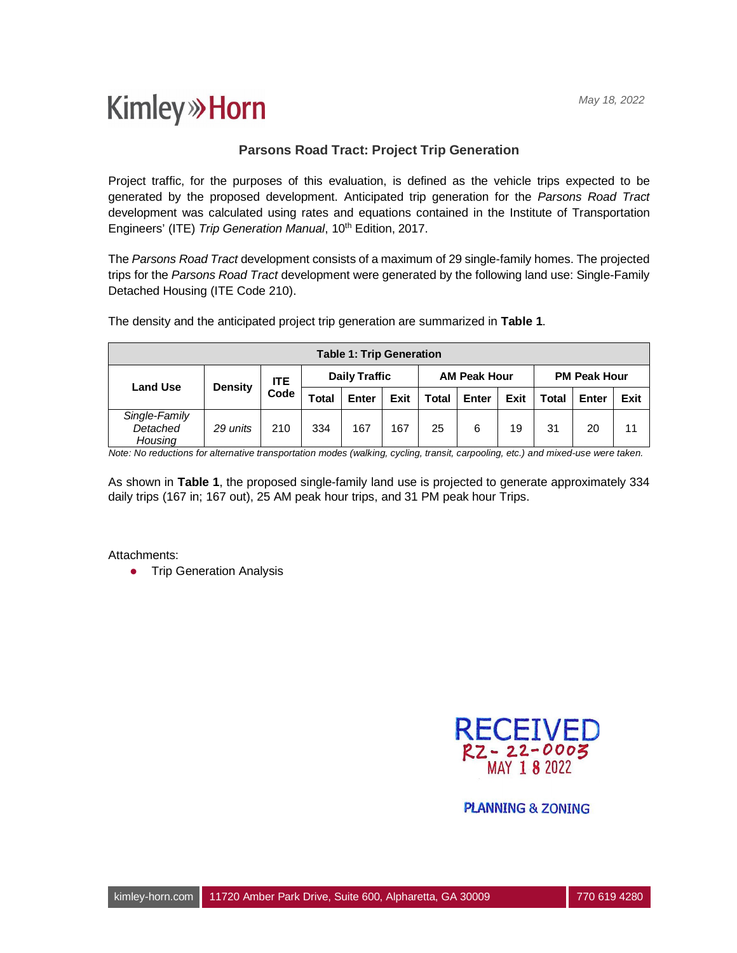## **Kimley»Horn**

## **Parsons Road Tract: Project Trip Generation**

Project traffic, for the purposes of this evaluation, is defined as the vehicle trips expected to be generated by the proposed development. Anticipated trip generation for the *Parsons Road Tract* development was calculated using rates and equations contained in the Institute of Transportation Engineers' (ITE) Trip Generation Manual, 10<sup>th</sup> Edition, 2017.

The *Parsons Road Tract* development consists of a maximum of 29 single-family homes. The projected trips for the *Parsons Road Tract* development were generated by the following land use: Single-Family Detached Housing (ITE Code 210).

| <b>Table 1: Trip Generation</b>      |                |                    |                      |       |      |                     |       |      |                     |       |      |  |
|--------------------------------------|----------------|--------------------|----------------------|-------|------|---------------------|-------|------|---------------------|-------|------|--|
| <b>Land Use</b>                      | <b>Density</b> | <b>ITE</b><br>Code | <b>Daily Traffic</b> |       |      | <b>AM Peak Hour</b> |       |      | <b>PM Peak Hour</b> |       |      |  |
|                                      |                |                    | <b>Total</b>         | Enter | Exit | Total               | Enter | Exit | <b>Total</b>        | Enter | Exit |  |
| Single-Family<br>Detached<br>Housing | 29 units       | 210                | 334                  | 167   | 167  | 25                  | 6     | 19   | 31                  | 20    | 11   |  |

The density and the anticipated project trip generation are summarized in **Table 1**.

*Note: No reductions for alternative transportation modes (walking, cycling, transit, carpooling, etc.) and mixed-use were taken.*

As shown in **Table 1**, the proposed single-family land use is projected to generate approximately 334 daily trips (167 in; 167 out), 25 AM peak hour trips, and 31 PM peak hour Trips.

Attachments:

**•** Trip Generation Analysis



**PLANNING & ZONING**